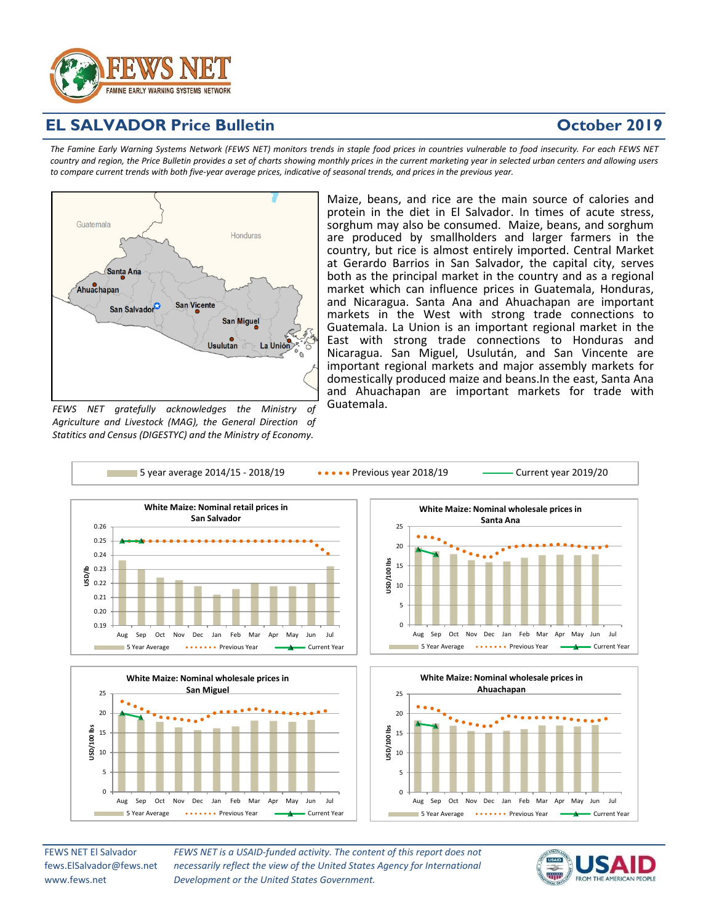

# **SALVADOR Price Bulletin**

## **October 2019**

The Famine Early Warning Systems Network (FEWS NET) monitors trends in staple food prices in countries vulnerable to food insecurity. For each FEWS NET country and region, the Price Bulletin provides a set of charts showing monthly prices in the current marketing year in selected urban centers and allowing users to compare current trends with both five-year average prices, indicative of seasonal trends, and prices in the previous year.



*FEWS NET gratefully acknowledges the Ministry of Agriculture and Livestock (MAG), the General Direction of Statitics and Census (DIGESTYC) and the Ministry of Economy.*

Aug Sep Oct Nov Dec Jan Feb Mar Apr May Jun Jul

**5 Year Average Previous Year** Previous Year **Previous Year** Current Year

Maize, beans, and rice are the main source of calories and protein in the diet in El Salvador. In times of acute stress, sorghum may also be consumed. Maize, beans, and sorghum are produced by smallholders and larger farmers in the country, but rice is almost entirely imported. Central Market at Gerardo Barrios in San Salvador, the capital city, serves both as the principal market in the country and as a regional market which can influence prices in Guatemala, Honduras, and Nicaragua. Santa Ana and Ahuachapan are important markets in the West with strong trade connections to Guatemala. La Union is an important regional market in the East with strong trade connections to Honduras and Nicaragua. San Miguel, Usulután, and San Vincente are important regional markets and major assembly markets for domestically produced maize and beans.In the east, Santa Ana and Ahuachapan are important markets for trade with Guatemala.



FEWS NET El Salvador fews.ElSalvador@fews.net www.fews.net

*FEWS NET is a USAID-funded activity. The content of this report does not necessarily reflect the view of the United States Agency for International Development or the United States Government.*



Aug Sep Oct Nov Dec Jan Feb Mar Apr May Jun Jul

5 Year Average Previous Year **Previous Year** Current Year